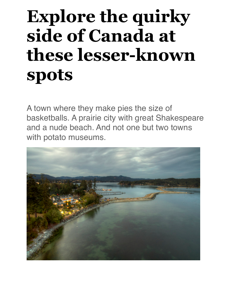## **Explore the quirky side of Canada at these lesser-known spots**

A town where they make pies the size of basketballs. A prairie city with great Shakespeare and a nude beach. And not one but two towns with potato museums.